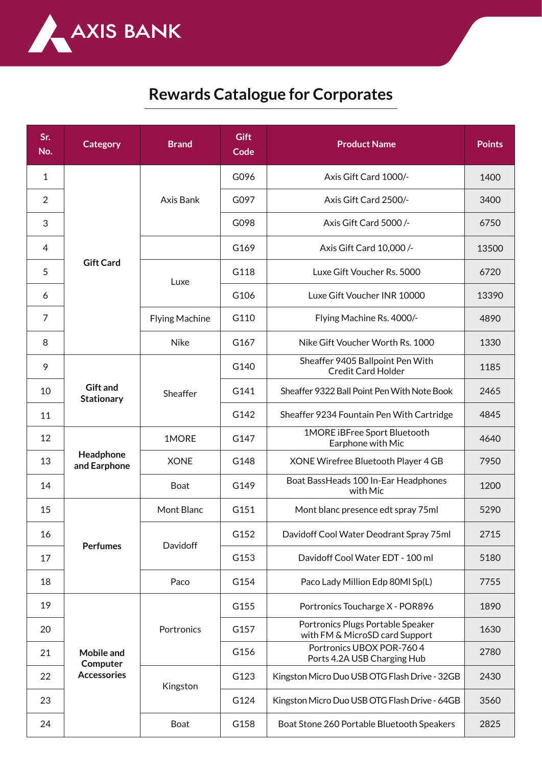

## **Rewards Catalogue for Corporates**

| Sr.<br>No.     | <b>Category</b>                              | <b>Brand</b>          | <b>Gift</b><br>Code | <b>Product Name</b>                                                 | <b>Points</b> |
|----------------|----------------------------------------------|-----------------------|---------------------|---------------------------------------------------------------------|---------------|
| 1              | <b>Gift Card</b>                             | Axis Bank             | G096                | Axis Gift Card 1000/-                                               | 1400          |
| $\overline{2}$ |                                              |                       | G097                | Axis Gift Card 2500/-                                               | 3400          |
| 3              |                                              |                       | G098                | Axis Gift Card 5000/-                                               | 6750          |
| 4              |                                              |                       | G169                | Axis Gift Card 10,000 /-                                            | 13500         |
| 5              |                                              | Luxe                  | G118                | Luxe Gift Voucher Rs. 5000                                          | 6720          |
| 6              |                                              |                       | G106                | Luxe Gift Voucher INR 10000                                         | 13390         |
| $\overline{7}$ |                                              | <b>Flying Machine</b> | G110                | Flying Machine Rs. 4000/-                                           | 4890          |
| 8              |                                              | <b>Nike</b>           | G167                | Nike Gift Voucher Worth Rs. 1000                                    | 1330          |
| 9              | <b>Gift and</b><br><b>Stationary</b>         | Sheaffer              | G140                | Sheaffer 9405 Ballpoint Pen With<br><b>Credit Card Holder</b>       | 1185          |
| 10             |                                              |                       | G141                | Sheaffer 9322 Ball Point Pen With Note Book                         | 2465          |
| 11             |                                              |                       | G142                | Sheaffer 9234 Fountain Pen With Cartridge                           | 4845          |
| 12             | Headphone<br>and Earphone                    | 1MORE                 | G147                | 1MORE iBFree Sport Bluetooth<br>Earphone with Mic                   | 4640          |
| 13             |                                              | <b>XONE</b>           | G148                | XONE Wirefree Bluetooth Player 4 GB                                 | 7950          |
| 14             |                                              | Boat                  | G149                | Boat BassHeads 100 In-Ear Headphones<br>with Mic                    | 1200          |
| 15             | <b>Perfumes</b>                              | Mont Blanc            | G151                | Mont blanc presence edt spray 75ml                                  | 5290          |
| 16             |                                              | Davidoff              | G152                | Davidoff Cool Water Deodrant Spray 75ml                             | 2715          |
| 17             |                                              |                       | G153                | Davidoff Cool Water EDT - 100 ml                                    | 5180          |
| 18             |                                              | Paco                  | G154                | Paco Lady Million Edp 80Ml Sp(L)                                    | 7755          |
| 19             | Mobile and<br>Computer<br><b>Accessories</b> | Portronics            | G155                | Portronics Toucharge X - POR896                                     | 1890          |
| 20             |                                              |                       | G157                | Portronics Plugs Portable Speaker<br>with FM & MicroSD card Support | 1630          |
| 21             |                                              |                       | G156                | Portronics UBOX POR-7604<br>Ports 4.2A USB Charging Hub             | 2780          |
| 22             |                                              | Kingston              | G123                | Kingston Micro Duo USB OTG Flash Drive - 32GB                       | 2430          |
| 23             |                                              |                       | G124                | Kingston Micro Duo USB OTG Flash Drive - 64GB                       | 3560          |
| 24             |                                              | Boat                  | G158                | Boat Stone 260 Portable Bluetooth Speakers                          | 2825          |